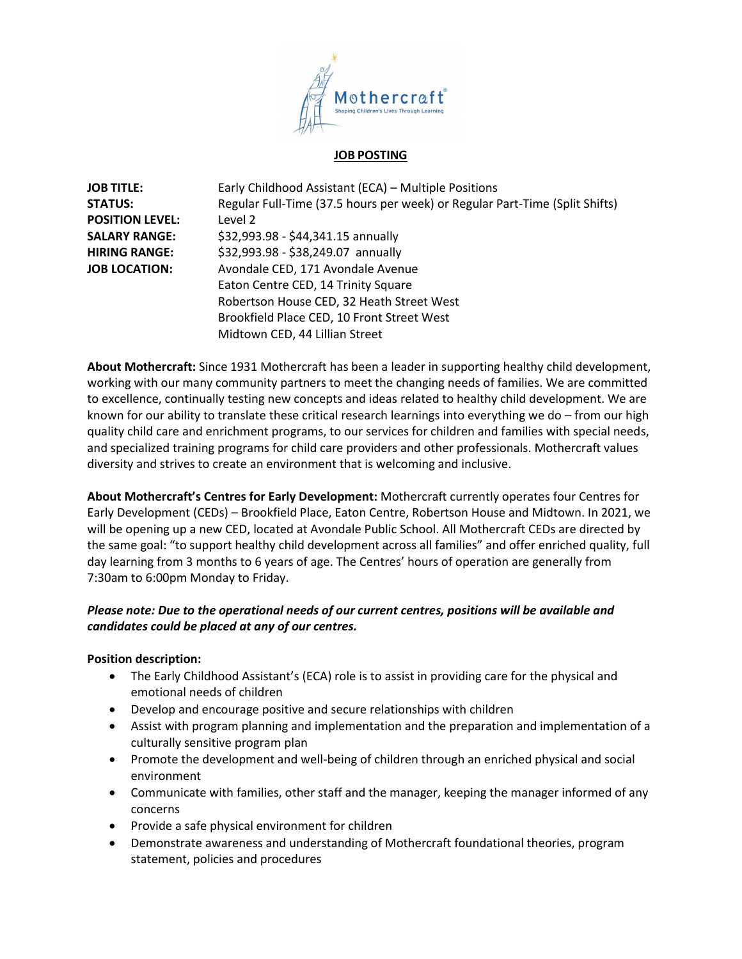

#### **JOB POSTING**

| <b>JOB TITLE:</b>      | Early Childhood Assistant (ECA) - Multiple Positions                        |
|------------------------|-----------------------------------------------------------------------------|
| <b>STATUS:</b>         | Regular Full-Time (37.5 hours per week) or Regular Part-Time (Split Shifts) |
| <b>POSITION LEVEL:</b> | Level 2                                                                     |
| <b>SALARY RANGE:</b>   | \$32,993.98 - \$44,341.15 annually                                          |
| <b>HIRING RANGE:</b>   | \$32,993.98 - \$38,249.07 annually                                          |
| <b>JOB LOCATION:</b>   | Avondale CED, 171 Avondale Avenue                                           |
|                        | Eaton Centre CED, 14 Trinity Square                                         |
|                        | Robertson House CED, 32 Heath Street West                                   |
|                        | Brookfield Place CED, 10 Front Street West                                  |
|                        | Midtown CED, 44 Lillian Street                                              |

**About Mothercraft:** Since 1931 Mothercraft has been a leader in supporting healthy child development, working with our many community partners to meet the changing needs of families. We are committed to excellence, continually testing new concepts and ideas related to healthy child development. We are known for our ability to translate these critical research learnings into everything we do – from our high quality child care and enrichment programs, to our services for children and families with special needs, and specialized training programs for child care providers and other professionals. Mothercraft values diversity and strives to create an environment that is welcoming and inclusive.

**About Mothercraft's Centres for Early Development:** Mothercraft currently operates four Centres for Early Development (CEDs) – Brookfield Place, Eaton Centre, Robertson House and Midtown. In 2021, we will be opening up a new CED, located at Avondale Public School. All Mothercraft CEDs are directed by the same goal: "to support healthy child development across all families" and offer enriched quality, full day learning from 3 months to 6 years of age. The Centres' hours of operation are generally from 7:30am to 6:00pm Monday to Friday.

# *Please note: Due to the operational needs of our current centres, positions will be available and candidates could be placed at any of our centres.*

# **Position description:**

- The Early Childhood Assistant's (ECA) role is to assist in providing care for the physical and emotional needs of children
- Develop and encourage positive and secure relationships with children
- Assist with program planning and implementation and the preparation and implementation of a culturally sensitive program plan
- Promote the development and well-being of children through an enriched physical and social environment
- Communicate with families, other staff and the manager, keeping the manager informed of any concerns
- Provide a safe physical environment for children
- Demonstrate awareness and understanding of Mothercraft foundational theories, program statement, policies and procedures